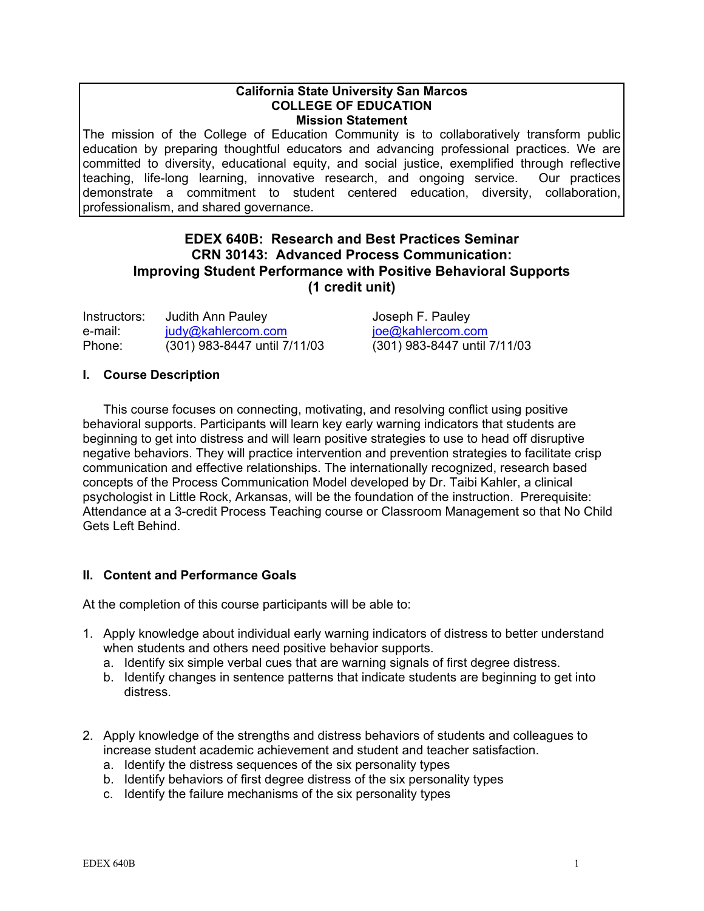#### **California State University San Marcos COLLEGE OF EDUCATION Mission Statement**

The mission of the College of Education Community is to collaboratively transform public education by preparing thoughtful educators and advancing professional practices. We are committed to diversity, educational equity, and social justice, exemplified through reflective teaching, life-long learning, innovative research, and ongoing service. Our practices demonstrate a commitment to student centered education, diversity, collaboration, professionalism, and shared governance.

## **EDEX 640B: Research and Best Practices Seminar CRN 30143: Advanced Process Communication: Improving Student Performance with Positive Behavioral Supports (1 credit unit)**

| Instructors: | Judith Ann Pauley            | Joseph F. Pauley             |
|--------------|------------------------------|------------------------------|
| e-mail:      | judy@kahlercom.com           | joe@kahlercom.com            |
| Phone:       | (301) 983-8447 until 7/11/03 | (301) 983-8447 until 7/11/03 |

## **I. Course Description**

This course focuses on connecting, motivating, and resolving conflict using positive behavioral supports. Participants will learn key early warning indicators that students are beginning to get into distress and will learn positive strategies to use to head off disruptive negative behaviors. They will practice intervention and prevention strategies to facilitate crisp communication and effective relationships. The internationally recognized, research based concepts of the Process Communication Model developed by Dr. Taibi Kahler, a clinical psychologist in Little Rock, Arkansas, will be the foundation of the instruction. Prerequisite: Attendance at a 3-credit Process Teaching course or Classroom Management so that No Child Gets Left Behind.

## **II. Content and Performance Goals**

At the completion of this course participants will be able to:

- 1. Apply knowledge about individual early warning indicators of distress to better understand when students and others need positive behavior supports.
	- a. Identify six simple verbal cues that are warning signals of first degree distress.
	- b. Identify changes in sentence patterns that indicate students are beginning to get into distress.
- 2. Apply knowledge of the strengths and distress behaviors of students and colleagues to increase student academic achievement and student and teacher satisfaction.
	- a. Identify the distress sequences of the six personality types
	- b. Identify behaviors of first degree distress of the six personality types
	- c. Identify the failure mechanisms of the six personality types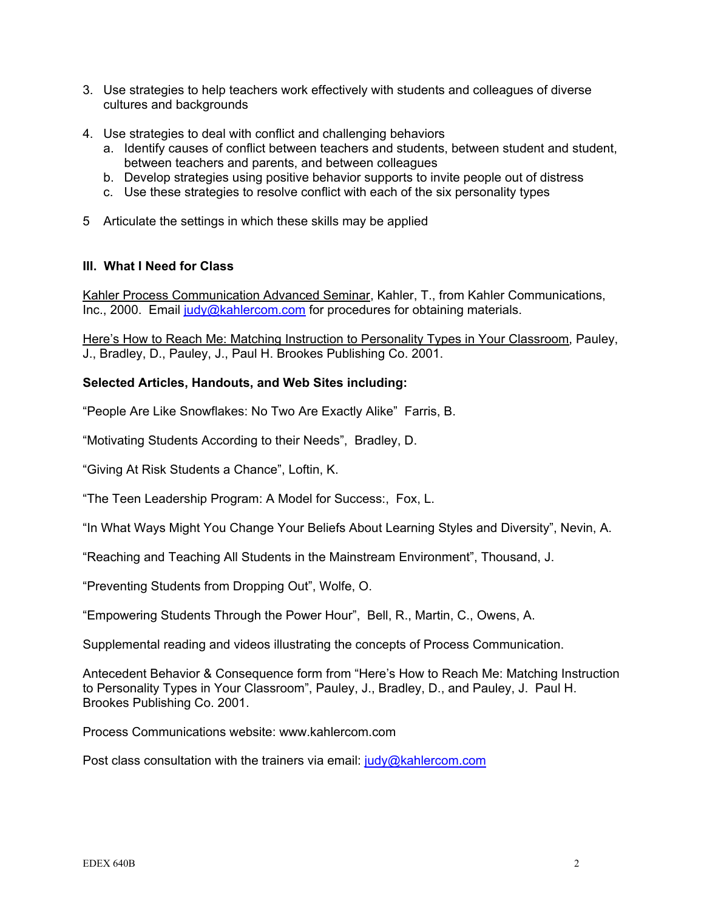- 3. Use strategies to help teachers work effectively with students and colleagues of diverse cultures and backgrounds
- 4. Use strategies to deal with conflict and challenging behaviors
	- a. Identify causes of conflict between teachers and students, between student and student, between teachers and parents, and between colleagues
	- b. Develop strategies using positive behavior supports to invite people out of distress
	- c. Use these strategies to resolve conflict with each of the six personality types
- 5 Articulate the settings in which these skills may be applied

## **III. What I Need for Class**

Kahler Process Communication Advanced Seminar, Kahler, T., from Kahler Communications, Inc., 2000. Email judy@kahlercom.com for procedures for obtaining materials.

Here's How to Reach Me: Matching Instruction to Personality Types in Your Classroom, Pauley, J., Bradley, D., Pauley, J., Paul H. Brookes Publishing Co. 2001.

## **Selected Articles, Handouts, and Web Sites including:**

"People Are Like Snowflakes: No Two Are Exactly Alike" Farris, B.

"Motivating Students According to their Needs", Bradley, D.

"Giving At Risk Students a Chance", Loftin, K.

"The Teen Leadership Program: A Model for Success:, Fox, L.

"In What Ways Might You Change Your Beliefs About Learning Styles and Diversity", Nevin, A.

"Reaching and Teaching All Students in the Mainstream Environment", Thousand, J.

"Preventing Students from Dropping Out", Wolfe, O.

"Empowering Students Through the Power Hour", Bell, R., Martin, C., Owens, A.

Supplemental reading and videos illustrating the concepts of Process Communication.

Antecedent Behavior & Consequence form from "Here's How to Reach Me: Matching Instruction to Personality Types in Your Classroom", Pauley, J., Bradley, D., and Pauley, J. Paul H. Brookes Publishing Co. 2001.

Process Communications website: www.kahlercom.com

Post class consultation with the trainers via email: judy@kahlercom.com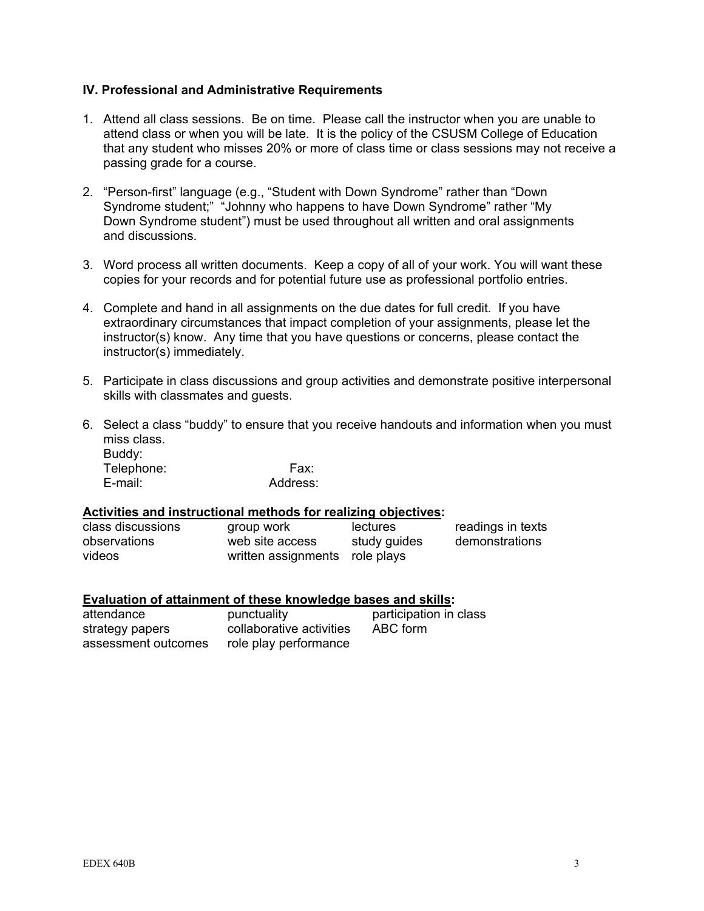## **IV. Professional and Administrative Requirements**

- 1. Attend all class sessions. Be on time. Please call the instructor when you are unable to attend class or when you will be late. It is the policy of the CSUSM College of Education that any student who misses 20% or more of class time or class sessions may not receive a passing grade for a course.
- 2. "Person-first" language (e.g., "Student with Down Syndrome" rather than "Down Syndrome student;" "Johnny who happens to have Down Syndrome" rather "My Down Syndrome student") must be used throughout all written and oral assignments and discussions.
- 3. Word process all written documents. Keep a copy of all of your work. You will want these copies for your records and for potential future use as professional portfolio entries.
- 4. Complete and hand in all assignments on the due dates for full credit. If you have extraordinary circumstances that impact completion of your assignments, please let the instructor(s) know. Any time that you have questions or concerns, please contact the instructor(s) immediately.
- 5. Participate in class discussions and group activities and demonstrate positive interpersonal skills with classmates and guests.
- 6. Select a class "buddy" to ensure that you receive handouts and information when you must miss class. Buddy:

Telephone: Fax: E-mail: Address:

## **Activities and instructional methods for realizing objectives:**

| class discussions | group work                     | lectures     | readings in texts |
|-------------------|--------------------------------|--------------|-------------------|
| observations      | web site access                | study guides | demonstrations    |
| videos            | written assignments role plays |              |                   |

#### **Evaluation of attainment of these knowledge bases and skills:**

| attendance          | punctuality              | participation in class |
|---------------------|--------------------------|------------------------|
| strategy papers     | collaborative activities | ABC form               |
| assessment outcomes | role play performance    |                        |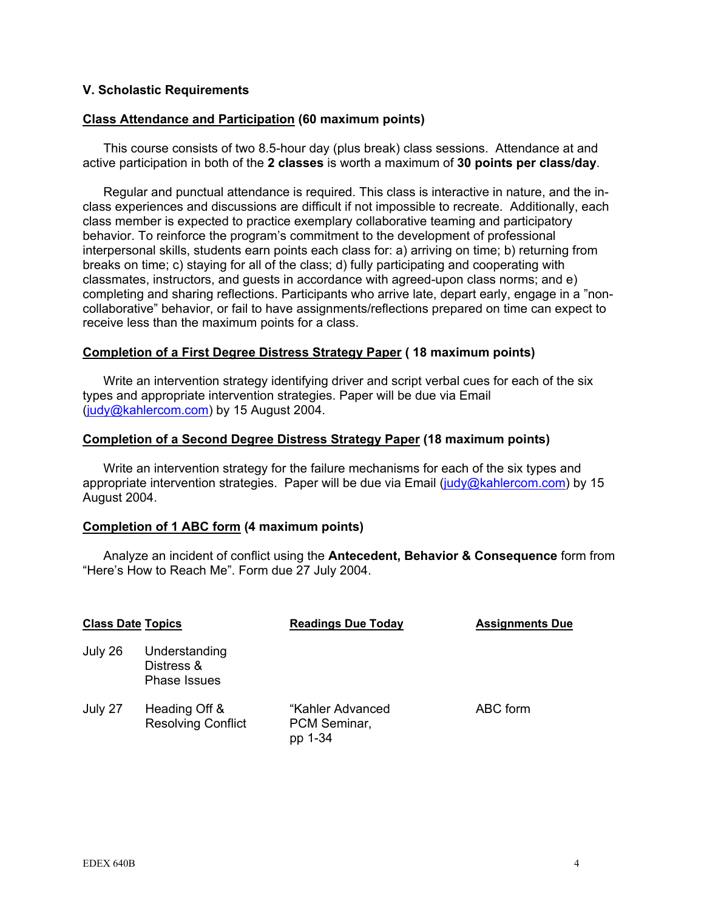## **V. Scholastic Requirements**

#### **Class Attendance and Participation (60 maximum points)**

This course consists of two 8.5-hour day (plus break) class sessions. Attendance at and active participation in both of the **2 classes** is worth a maximum of **30 points per class/day**.

 Regular and punctual attendance is required. This class is interactive in nature, and the inclass experiences and discussions are difficult if not impossible to recreate. Additionally, each class member is expected to practice exemplary collaborative teaming and participatory behavior. To reinforce the program's commitment to the development of professional interpersonal skills, students earn points each class for: a) arriving on time; b) returning from breaks on time; c) staying for all of the class; d) fully participating and cooperating with classmates, instructors, and guests in accordance with agreed-upon class norms; and e) completing and sharing reflections. Participants who arrive late, depart early, engage in a "noncollaborative" behavior, or fail to have assignments/reflections prepared on time can expect to receive less than the maximum points for a class.

#### **Completion of a First Degree Distress Strategy Paper ( 18 maximum points)**

Write an intervention strategy identifying driver and script verbal cues for each of the six types and appropriate intervention strategies. Paper will be due via Email (judy@kahlercom.com) by 15 August 2004.

#### **Completion of a Second Degree Distress Strategy Paper (18 maximum points)**

Write an intervention strategy for the failure mechanisms for each of the six types and appropriate intervention strategies. Paper will be due via Email (judy@kahlercom.com) by 15 August 2004.

#### **Completion of 1 ABC form (4 maximum points)**

Analyze an incident of conflict using the **Antecedent, Behavior & Consequence** form from "Here's How to Reach Me". Form due 27 July 2004.

| <b>Class Date Topics</b> |                                                    | <b>Readings Due Today</b>                   | <b>Assignments Due</b> |
|--------------------------|----------------------------------------------------|---------------------------------------------|------------------------|
| July 26                  | Understanding<br>Distress &<br><b>Phase Issues</b> |                                             |                        |
| July 27                  | Heading Off &<br><b>Resolving Conflict</b>         | "Kahler Advanced<br>PCM Seminar,<br>pp 1-34 | ABC form               |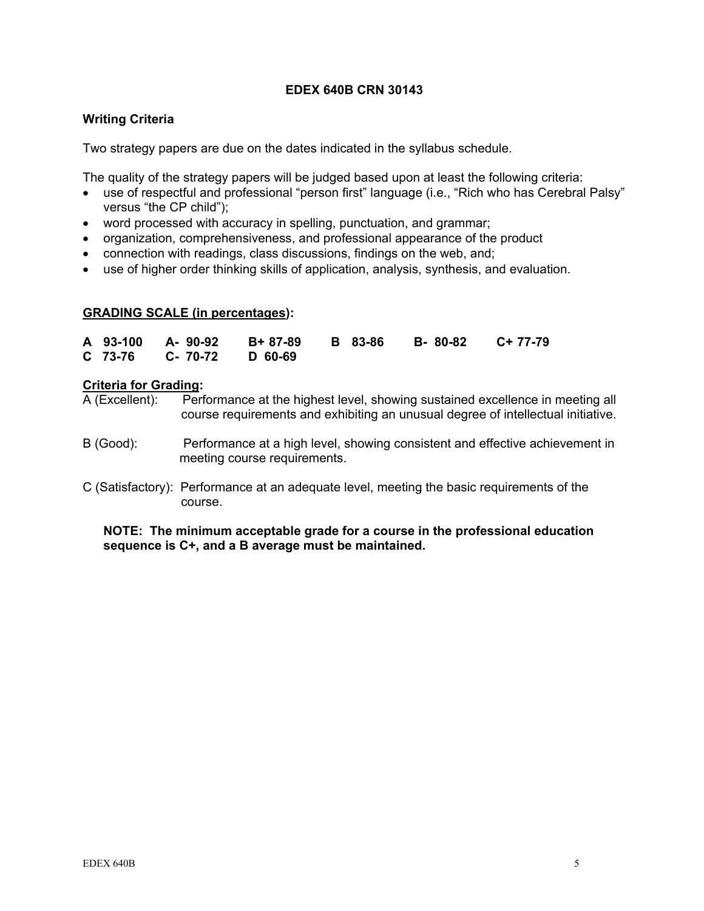## **EDEX 640B CRN 30143**

## **Writing Criteria**

Two strategy papers are due on the dates indicated in the syllabus schedule.

The quality of the strategy papers will be judged based upon at least the following criteria:

- use of respectful and professional "person first" language (i.e., "Rich who has Cerebral Palsy" versus "the CP child");
- word processed with accuracy in spelling, punctuation, and grammar;
- organization, comprehensiveness, and professional appearance of the product
- connection with readings, class discussions, findings on the web, and;
- use of higher order thinking skills of application, analysis, synthesis, and evaluation.

## **GRADING SCALE (in percentages):**

|  |                          |  | A 93-100 A-90-92 B+87-89 B 83-86 B-80-82 C+77-79 |  |
|--|--------------------------|--|--------------------------------------------------|--|
|  | C 73-76 C- 70-72 D 60-69 |  |                                                  |  |

#### **Criteria for Grading:**

A (Excellent): Performance at the highest level, showing sustained excellence in meeting all course requirements and exhibiting an unusual degree of intellectual initiative.

- B (Good): Performance at a high level, showing consistent and effective achievement in meeting course requirements.
- C (Satisfactory): Performance at an adequate level, meeting the basic requirements of the course.

#### **NOTE: The minimum acceptable grade for a course in the professional education sequence is C+, and a B average must be maintained.**